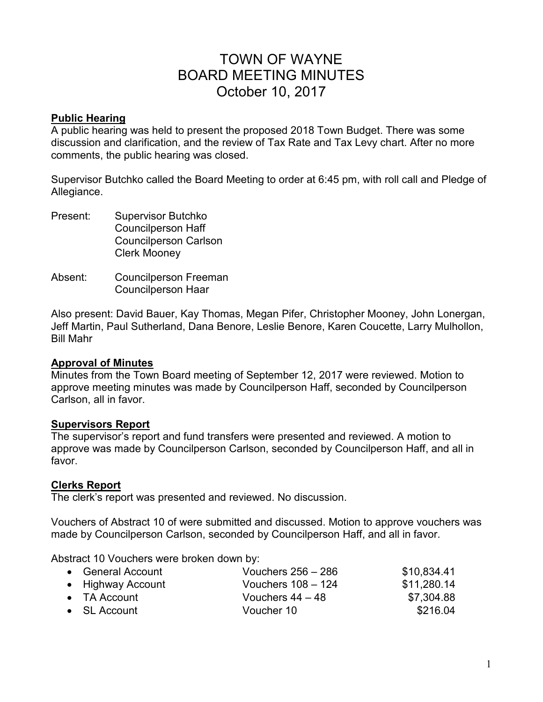# TOWN OF WAYNE BOARD MEETING MINUTES October 10, 2017

#### **Public Hearing**

A public hearing was held to present the proposed 2018 Town Budget. There was some discussion and clarification, and the review of Tax Rate and Tax Levy chart. After no more comments, the public hearing was closed.

Supervisor Butchko called the Board Meeting to order at 6:45 pm, with roll call and Pledge of Allegiance.

- Present: Supervisor Butchko Councilperson Haff Councilperson Carlson Clerk Mooney
- Absent: Councilperson Freeman Councilperson Haar

Also present: David Bauer, Kay Thomas, Megan Pifer, Christopher Mooney, John Lonergan, Jeff Martin, Paul Sutherland, Dana Benore, Leslie Benore, Karen Coucette, Larry Mulhollon, Bill Mahr

#### **Approval of Minutes**

Minutes from the Town Board meeting of September 12, 2017 were reviewed. Motion to approve meeting minutes was made by Councilperson Haff, seconded by Councilperson Carlson, all in favor.

#### **Supervisors Report**

The supervisor's report and fund transfers were presented and reviewed. A motion to approve was made by Councilperson Carlson, seconded by Councilperson Haff, and all in favor.

#### **Clerks Report**

The clerk's report was presented and reviewed. No discussion.

Vouchers of Abstract 10 of were submitted and discussed. Motion to approve vouchers was made by Councilperson Carlson, seconded by Councilperson Haff, and all in favor.

Abstract 10 Vouchers were broken down by:

| • General Account    | Vouchers $256 - 286$ | \$10,834.41 |
|----------------------|----------------------|-------------|
| • Highway Account    | Vouchers $108 - 124$ | \$11,280.14 |
| $\bullet$ TA Account | Vouchers $44 - 48$   | \$7,304.88  |
| $\bullet$ SL Account | Voucher 10           | \$216.04    |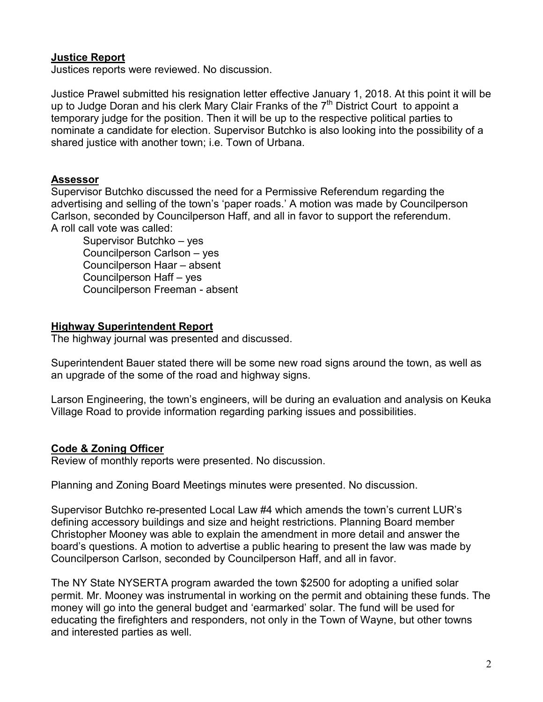# **Justice Report**

Justices reports were reviewed. No discussion.

Justice Prawel submitted his resignation letter effective January 1, 2018. At this point it will be up to Judge Doran and his clerk Mary Clair Franks of the  $7<sup>th</sup>$  District Court to appoint a temporary judge for the position. Then it will be up to the respective political parties to nominate a candidate for election. Supervisor Butchko is also looking into the possibility of a shared justice with another town; i.e. Town of Urbana.

#### **Assessor**

Supervisor Butchko discussed the need for a Permissive Referendum regarding the advertising and selling of the town's 'paper roads.' A motion was made by Councilperson Carlson, seconded by Councilperson Haff, and all in favor to support the referendum. A roll call vote was called:

 Supervisor Butchko – yes Councilperson Carlson – yes Councilperson Haar – absent Councilperson Haff – yes Councilperson Freeman - absent

#### **Highway Superintendent Report**

The highway journal was presented and discussed.

Superintendent Bauer stated there will be some new road signs around the town, as well as an upgrade of the some of the road and highway signs.

Larson Engineering, the town's engineers, will be during an evaluation and analysis on Keuka Village Road to provide information regarding parking issues and possibilities.

# **Code & Zoning Officer**

Review of monthly reports were presented. No discussion.

Planning and Zoning Board Meetings minutes were presented. No discussion.

Supervisor Butchko re-presented Local Law #4 which amends the town's current LUR's defining accessory buildings and size and height restrictions. Planning Board member Christopher Mooney was able to explain the amendment in more detail and answer the board's questions. A motion to advertise a public hearing to present the law was made by Councilperson Carlson, seconded by Councilperson Haff, and all in favor.

The NY State NYSERTA program awarded the town \$2500 for adopting a unified solar permit. Mr. Mooney was instrumental in working on the permit and obtaining these funds. The money will go into the general budget and 'earmarked' solar. The fund will be used for educating the firefighters and responders, not only in the Town of Wayne, but other towns and interested parties as well.